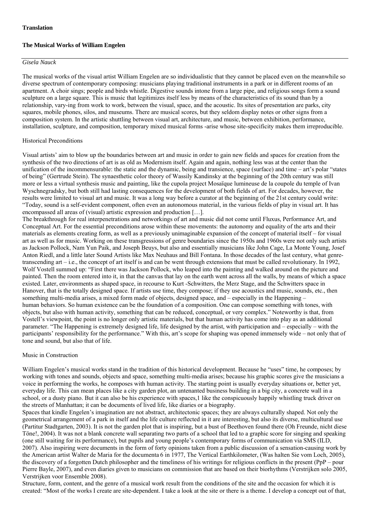# **The Musical Works of William Engelen**

#### *Gisela Nauck*

The musical works of the visual artist William Engelen are so individualistic that they cannot be placed even on the meanwhile so diverse spectrum of contemporary composing: musicians playing traditional instruments in a park or in different rooms of an apartment. A choir sings; people and birds whistle. Digestive sounds intone from a large pipe, and religious songs form a sound sculpture on a large square. This is music that legitimizes itself less by means of the characteristics of its sound than by a relationship, vary-ing from work to work, between the visual, space, and the acoustic. Its sites of presentation are parks, city squares, mobile phones, silos, and museums. There are musical scores, but they seldom display notes or other signs from a composition system. In the artistic shuttling between visual art, architecture, and music, between exhibition, performance, installation, sculpture, and composition, temporary mixed musical forms -arise whose site-specificity makes them irreproducible.

## Historical Preconditions

Visual artists' aim to blow up the boundaries between art and music in order to gain new fields and spaces for creation from the synthesis of the two directions of art is as old as Modernism itself. Again and again, nothing less was at the center than the unification of the incommensurable: the static and the dynamic, being and transience, space (surface) and time – art's polar "states of being" (Gertrude Stein). The synaesthetic color theory of Wassily Kandinsky at the beginning of the 20th century was still more or less a virtual synthesis music and painting, like the cupola project Mosaïque lumineuse de la coupole du temple of Ivan Wyschnegradsky, but both still had lasting consequences for the development of both fields of art. For decades, however, the results were limited to visual art and music. It was a long way before a curator at the beginning of the 21st century could write: "Today, sound is a self-evident component, often even an autonomous material, in the various fields of play in visual art. It has encompassed all areas of (visual) artistic expression and production […].

The breakthrough for real interpenetrations and networkings of art and music did not come until Fluxus, Performance Art, and Conceptual Art. For the essential preconditions arose within these movements: the autonomy and equality of the arts and their materials as elements creating form, as well as a previously unimaginable expansion of the concept of material itself – for visual art as well as for music. Working on these transgressions of genre boundaries since the 1950s and 1960s were not only such artists as Jackson Pollock, Nam Yun Paik, and Joseph Beuys, but also and essentially musicians like John Cage, La Monte Young, Josef Anton Riedl, and a little later Sound Artists like Max Neuhaus and Bill Fontana. In those decades of the last century, what genretranscending art – i.e., the concept of art itself is and can be went through extensions that must be called revolutionary. In 1992, Wolf Vostell summed up: "First there was Jackson Pollock, who leaped into the painting and walked around on the picture and painted. Then the room entered into it, in that the canvas that lay on the earth went across all the walls, by means of which a space existed. Later, environments as shaped space, in recourse to Kurt -Schwitters, the Merz Stage, and the Schwitters space in Hanover, that is the totally designed space. If artists use time, they compose; if they use acoustics and music, sounds, etc., then something multi-media arises, a mixed form made of objects, designed space, and – especially in the Happening – human behaviors. So human existence can be the foundation of a composition. One can compose something with tones, with objects, but also with human activity, something that can be reduced, conceptual, or very complex." Noteworthy is that, from Vostell's viewpoint, the point is no longer only artistic materials, but that human activity has come into play as an additional parameter. "The Happening is extremely designed life, life designed by the artist, with participation and – especially – with the participants' responsibility for the performance." With this, art's scope for shaping was opened immensely wide – not only that of tone and sound, but also that of life.

## Music in Construction

William Engelen's musical works stand in the tradition of this historical development. Because he "uses" time, he composes; by working with tones and sounds, objects and space, something multi-media arises; because his graphic scores give the musicians a voice in performing the works, he composes with human activity. The starting point is usually everyday situations or, better yet, everyday life. This can mean places like a city garden plot, an untenanted business building in a big city, a concrete wall in a school, or a dusty piano. But it can also be his experience with spaces,1 like the conspicuously happily whistling truck driver on the streets of Manhattan; it can be documents of lived life, like diaries or a biography.

Spaces that kindle Engelen's imagination are not abstract, architectonic spaces; they are always culturally shaped. Not only the geometrical arrangement of a park in itself and the life culture reflected in it are interesting, but also its diverse, multicultural use (Partitur Stadtgarten, 2003). It is not the garden plot that is inspiring, but a bust of Beethoven found there (Oh Freunde, nicht diese Töne!, 2004). It was not a blank concrete wall separating two parts of a school that led to a graphic score for singing and speaking (one still waiting for its performance), but pupils and young people's contemporary forms of communication via SMS (ILD, 2007). Also inspiring were documents in the form of forty opinions taken from a public discussion of a sensation-causing work by the American artist Walter de Maria for the documenta 6 in 1977, The Vertical Earthkilometer, (Was halten Sie vom Loch, 2005), the discovery of a forgotten Dutch philosopher and the timeliness of his writings for religious conflicts in the present (PpP – pour Pierre Bayle, 2007), and even diaries given to musicians on commission that are based on their biorhythms (Verstrijken solo 2005, Verstrijken voor Ensemble 2008).

Structure, form, content, and the genre of a musical work result from the conditions of the site and the occasion for which it is created: "Most of the works I create are site-dependent. I take a look at the site or there is a theme. I develop a concept out of that,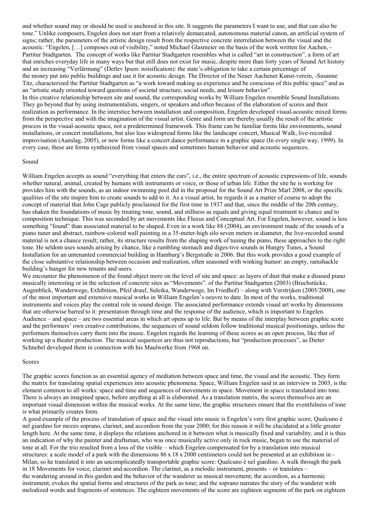and whether sound may or should be used is anchored in this site. It suggests the parameters I want to use, and that can also be tone." Unlike composers, Engelen does not start from a relatively demarcated, autonomous material canon, an artificial system of signs; rather, the parameters of the artistic design result from the respective concrete interrelation between the visual and the acoustic. "Engelen, […] composes out of visibility," noted Michael Glasmeier on the basis of the work written for Aachen, - Partitur Stadtgarten. The concept of works like Partitur Stadtgarten resembles what is called "art in construction", a form of art that enriches everyday life in many ways but that still does not exist for music, despite more than forty years of Sound Art history and an increasing "Verlärmung" (Detlev Ipsen: noisification): the state's obligation to take a certain percentage of the money put into public buildings and use it for acoustic design. The Director of the Neuer Aachener Kunst-verein, -Susanne Titz, characterized the Partitur Stadtgarten as "a work toward making us experience and be conscious of this public space" and as an "artistic study oriented toward questions of societal structure, social needs, and leisure behavior".

In this creative relationship between site and sound, the corresponding works by William Engelen resemble Sound Installations. They go beyond that by using instrumentalists, singers, or speakers and often because of the elaboration of scores and their realization as performance. In the interstice between installation and composition, Engelen developed visual-acoustic mixed forms from the perspective and with the imagination of the visual artist. Genre and form are thereby usually the result of the artistic process in the visual-acoustic space, not a predetermined framework. This frame can be familiar forms like environments, sound installations, or concert installations, but also less widespread forms like the landscape concert, Musical Walk, live-recorded improvisation (Aanslag, 2005), or new forms like a concert dance performance in a graphic space (In every single way, 1999). In every case, these are forms synthesized from visual spaces and sometimes human behavior and acoustic sequences.

#### Sound

William Engelen accepts as sound "everything that enters the ears", i.e., the entire spectrum of acoustic expressions of life, sounds whether natural, animal, created by humans with instruments or voice, or those of urban life. Either the site he is working for provides him with the sounds, as an indoor swimming pool did in the proposal for the Sound Art Prize Marl 2008, or the specific qualities of the site inspire him to create sounds to add to it. As a visual artist, he regards it as a matter of course to adopt the concept of material that John Cage publicly proclaimed for the first time in 1937 and that, since the middle of the 20th century, has shaken the foundations of music by treating tone, sound, and stillness as equals and giving equal treatment to chance and to composition technique. This was seconded by art movements like Fluxus and Conceptual Art. For Engelen, however, sound is less something "found" than associated material to be shaped. Even in a work like 88 (2004), an environment made of the sounds of a piano tuner and abstract, rainbow-colored wall painting in a 35-meter-high silo seven meters in diameter, the live-recorded sound material is not a chance result; rather, its structure results from the shaping work of tuning the piano, these approaches to the right tone. He seldom uses sounds arising by chance, like a rumbling stomach and diges-tive sounds in Hungry Tunes, a Sound Installation for an untenanted commercial building in Hamburg's Bergstraße in 2006. But this work provides a good example of the close substantive relationship between occasion and realization, often seasoned with winking humor: an empty, ramshackle building's hunger for new tenants and users.

We encounter the phenomenon of the found object more on the level of site and space: as layers of dust that make a disused piano musically interesting or in the selection of concrete sites as "Movements". of the Partitur Stadtgarten (2003) (Bruchstücke, Augenblick, Wanderwege, Exhibition, Pfeif drauf, Suleika, Wanderwege, Im Friedhof) – along with Verstrijken (2005/2008), one of the most important and extensive musical works in William Engelen's oeuvre to date. In most of the works, traditional instruments and voices play the central role in sound design. The associated performance extends visual art works by dimensions that are otherwise barred to it: presentation through time and the response of the audience, which is important to Engelen. Audience – and space – are two essential areas in which art opens up to life. But by means of the interplay between graphic score and the performers' own creative contributions, the sequences of sound seldom follow traditional musical positionings, unless the performers themselves carry them into the music. Engelen regards the learning of these scores as an open process, like that of working up a theater production. The musical sequences are thus not reproductions, but "production processes", as Dieter Schnebel developed them in connection with his Maulwerke from 1968 on.

#### Scores

The graphic scores function as an essential agency of mediation between space and time, the visual and the acoustic. They form the matrix for translating spatial experiences into acoustic phenomena. Space, William Engelen said in an interview in 2003, is the element common to all works: space and time and sequences of movements in space. Movement in space is translated into tone. There is always an imagined space, before anything at all is elaborated. As a translation matrix, the scores themselves are an important visual dimension within the musical works. At the same time, the graphic structures ensure that the eventfulness of tone is what primarily creates form.

A good example of the process of translation of space and the visual into music is Engelen's very first graphic score, Qualcuno è nel giardino for mezzo soprano, clarinet, and accordion from the year 2000; for this reason it will be elucidated at a little greater length here. At the same time, it displays the relations anchored in it between what is musically fixed and variability, and it is thus an indication of why the painter and draftsman, who was once musically active only in rock music, began to use the material of tone at all. For the trio resulted from a loss of the visible – which Engelen compensated for by a translation into musical structures: a scale model of a park with the dimensions  $86 \times 18 \times 2000$  centimeters could not be presented at an exhibition in -Milan, so he translated it into an uncomplicatedly transportable graphic score: Qualcuno è nel giardino. A walk through the park in 18 Movements for voice, clarinet and accordion. The clarinet, as a melodic instrument, presents – or translates – the wandering around in this garden and the behavior of the wanderer as musical movement; the accordion, as a harmonic instrument, evokes the spatial forms and structures of the park as tone; and the soprano narrates the story of the wanderer with melodized words and fragments of sentences. The eighteen movements of the score are eighteen segments of the park on eighteen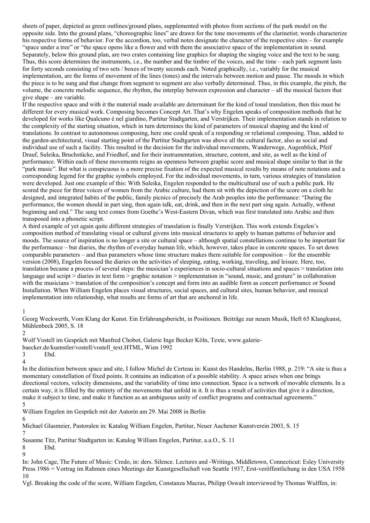sheets of paper, depicted as green outlines/ground plans, supplemented with photos from sections of the park model on the opposite side. Into the ground plans, "choreographic lines" are drawn for the tone movements of the clarinetist; words characterize his respective forms of behavior. For the accordion, too, verbal notes designate the character of the respective sites – for example "space under a tree" or "the space opens like a flower and with them the associative space of the implementation in sound. Separately, below this ground plan, are two crates containing line graphics for shaping the singing voice and the text to be sung. Thus, this score determines the instruments, i.e., the number and the timbre of the voices, and the time – each park segment lasts for forty seconds consisting of two sets / boxes of twenty seconds each. Noted graphically, i.e., variably for the musical implementation, are the forms of movement of the lines (tones) and the intervals between motion and pause. The moods in which the piece is to be sung and that change from segment to segment are also verbally determined. Thus, in this example, the pitch, the volume, the concrete melodic sequence, the rhythm, the interplay between expression and character – all the musical factors that give shape – are variable.

If the respective space and with it the material made available are determinant for the kind of tonal translation, then this must be different for every musical work. Composing becomes Concept Art. That's why Engelen speaks of composition methods that he developed for works like Qualcuno è nel giardino, Partitur Stadtgarten, and Verstrijken. Their implementation stands in relation to the complexity of the starting situation, which in turn determines the kind of parameters of musical shaping and the kind of translations. In contrast to autonomous composing, here one could speak of a responding or relational composing. Thus, added to the garden-architectural, visual starting point of the Partitur Stadtgarten was above all the cultural factor, also as social and individual use of such a facility. This resulted in the decision for the individual movements, Wanderwege, Augenblick, Pfeif Drauf, Suleika, Bruchstücke, and Friedhof, and for their instrumentation, structure, content, and site, as well as the kind of performance. Within each of these movements reigns an openness between graphic score and musical shape similar to that in the "park music". But what is conspicuous is a more precise fixation of the expected musical results by means of note notations and a corresponding legend for the graphic symbols employed. For the individual movements, in turn, various strategies of translation were developed. Just one example of this: With Suleika, Engelen responded to the multicultural use of such a public park. He scored the piece for three voices of women from the Arabic culture, had them sit with the depiction of the score on a cloth he designed, and integrated habits of the public, family picnics of precisely the Arab peoples into the performance: "During the performance, the women should in part sing, then again talk, eat, drink, and then in the next part sing again. Actually, without beginning and end." The sung text comes from Goethe's West-Eastern Divan, which was first translated into Arabic and then transposed into a phonetic script.

A third example of yet again quite different strategies of translation is finally Verstrijken. This work extends Engelen's composition method of translating visual or cultural givens into musical structures to apply to human patterns of behavior and moods. The source of inspiration is no longer a site or cultural space – although spatial constellations continue to be important for the performance – but diaries, the rhythm of everyday human life, which, however, takes place in concrete spaces. To set down comparable parameters – and thus parameters whose time structure makes them suitable for composition – for the ensemble version (2008), Engelen focused the diaries on the activities of sleeping, eating, working, traveling, and leisure. Here, too, translation became a process of several steps: the musician's experiences in socio-cultural situations and spaces > translation into language and script > diaries in text form > graphic notation > implementation in "sound, music, and gesture" in collaboration with the musicians > translation of the composition's concept and form into an audible form as concert performance or Sound Installation. When William Engelen places visual structures, social spaces, and cultural sites, human behavior, and musical implementation into relationship, what results are forms of art that are anchored in life.

1

Georg Weckwerth, Vom Klang der Kunst. Ein Erfahrungsbericht, in Positionen. Beiträge zur neuen Musik, Heft 65 Klangkunst, Mühlenbeck 2005, S. 18

2

Wolf Vostell im Gespräch mit Manfred Chobot, Galerie Inge Becker Köln, Texte, www.galerie-

baecker.de/kuenstler/vostell/vostell\_text.HTML, Wien 1992

3 Ebd. 4

In the distinction between space and site, I follow Michel de Certeau in: Kunst des Handelns, Berlin 1988, p. 219: "A site is thus a momentary constellation of fixed points. It contains an indication of a possible stability. A space arises when one brings directional vectors, velocity dimensions, and the variability of time into connection. Space is a network of movable elements. In a certain way, it is filled by the entirety of the movements that unfold in it. It is thus a result of activities that give it a direction, make it subject to time, and make it function as an ambiguous unity of conflict programs and contractual agreements." 5

William Engelen im Gespräch mit der Autorin am 29. Mai 2008 in Berlin

6

Michael Glasmeier, Pastoralen in: Katalog William Engelen, Partitur, Neuer Aachener Kunstverein 2003, S. 15 7

Susanne Titz, Partitur Stadtgarten in: Katalog William Engelen, Partitur, a.a.O., S. 11

8 Ebd.

 $\Omega$ 

In: John Cage, The Future of Music: Credo, in: ders. Silence. Lectures and -Writings, Middletown, Connecticut: Esley University Press 1986 = Vortrag im Rahmen eines Meetings der Kunstgesellschaft von Seattle 1937, Erst-veröffentlichung in den USA 1958 10

Vgl. Breaking the code of the score, William Engelen, Constanza Macras, Philipp Oswalt interviewed by Thomas Wulffen, in: